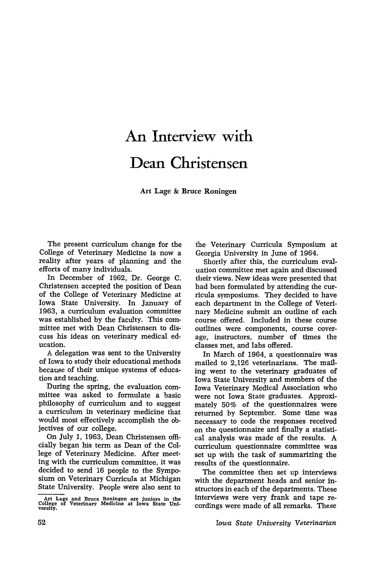## An **Interview with Dean Christensen**

Art Lage & Bruce Roningen

The present curriculum change for the College of Veterinary Medicine is now a reality after years of planning and the efforts of many individuals.

In December of 1962, Dr. George C. Christensen accepted the position of Dean of the College of Veterinary Medicine at Iowa State University. In January of 1963, a curriculum evaluation committee was established by the faculty. This committee met with Dean Christensen to discuss his ideas on veterinary medical education.

A delegation was sent to the University of Iowa to study their educational methods because of their unique systems of education and teaching.

During the spring, the evaluation committee was asked to formulate a basic philosophy of curriculum and to suggest a curriculum in veterinary medicine that would most effectively accomplish the objectives of our college.

On July 1, 1963, Dean Christensen officially began his term as Dean of the College of Veterinary Medicine. After meeting with the curriculum committee, it was decided to send 16 people to the Symposium on Veterinary Curricula at Michigan State University. People were also sent to

Art Lage and Bruce Roningen are juniors in the College of Veterinary Medicine at Iowa State Uni. versity.

the Veterinary Curricula Symposium at Georgia University in June of 1964.

Shortly after this, the curriculum evaluation committee met again and discussed their views. New ideas were presented that had been formulated by attending the curricula symposiums. They decided to have each department in the College of Veterinary Medicine submit an outline of each course offered. Included in these course outlines were components, course coverage, instructors, number of times the classes met, and labs offered.

In March of 1964, a questionnaire was mailed to 2,126 veterinarians. The mailing went to the veterinary graduates of Iowa State University and members of the Iowa Veterinary Medical Association who were not Iowa State graduates. Approximately 50% of the questionnaires were returned by September. Some time was necessary to code the responses received on the questionnaire and finally a statistical analysis was made of the results. A curriculum questionnaire committee was set up with the task of summarizing the results of the questionnaire.

The committee then set up interviews with the department heads and senior instructors in each of the departments. These interviews were very frank and tape recordings were made of all remarks. These

*Iowa State University Veterinarian*